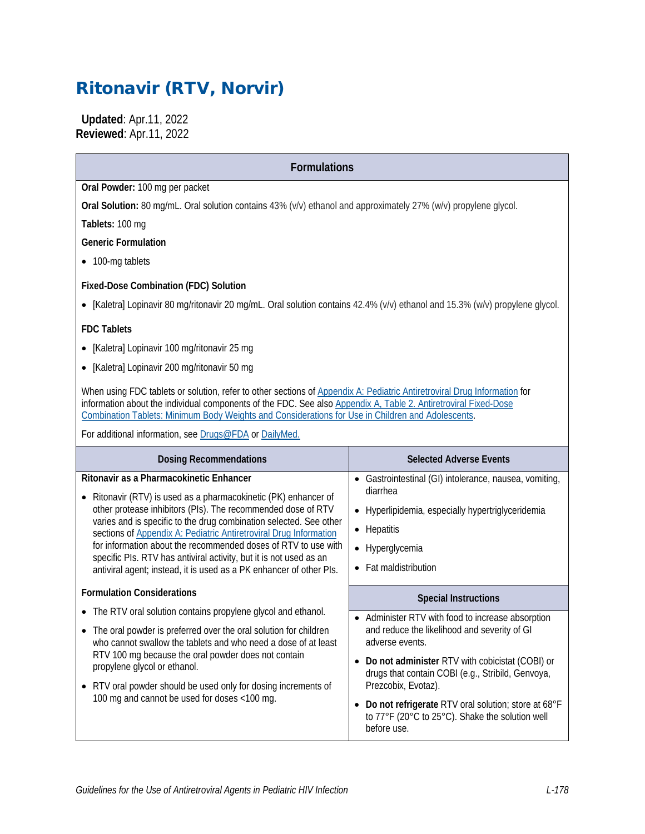# Ritonavir (RTV, Norvir)

 **Updated**: Apr.11, 2022 **Reviewed**: Apr.11, 2022

| <b>Formulations</b>                                                                                                                                                                                                                                                                                                                                                                                                                                                                                                                |                                                                                                                                                                                                                                                                                                                                                                                                        |  |
|------------------------------------------------------------------------------------------------------------------------------------------------------------------------------------------------------------------------------------------------------------------------------------------------------------------------------------------------------------------------------------------------------------------------------------------------------------------------------------------------------------------------------------|--------------------------------------------------------------------------------------------------------------------------------------------------------------------------------------------------------------------------------------------------------------------------------------------------------------------------------------------------------------------------------------------------------|--|
| Oral Powder: 100 mg per packet<br>Oral Solution: 80 mg/mL. Oral solution contains 43% (v/v) ethanol and approximately 27% (w/v) propylene glycol.<br>Tablets: 100 mg<br><b>Generic Formulation</b><br>• 100-mg tablets                                                                                                                                                                                                                                                                                                             |                                                                                                                                                                                                                                                                                                                                                                                                        |  |
| <b>Fixed-Dose Combination (FDC) Solution</b><br>• [Kaletra] Lopinavir 80 mg/ritonavir 20 mg/mL. Oral solution contains 42.4% (v/v) ethanol and 15.3% (w/v) propylene glycol.<br><b>FDC Tablets</b><br>• [Kaletra] Lopinavir 100 mg/ritonavir 25 mg<br>• [Kaletra] Lopinavir 200 mg/ritonavir 50 mg                                                                                                                                                                                                                                 |                                                                                                                                                                                                                                                                                                                                                                                                        |  |
| When using FDC tablets or solution, refer to other sections of Appendix A: Pediatric Antiretroviral Drug Information for<br>information about the individual components of the FDC. See also Appendix A, Table 2. Antiretroviral Fixed-Dose<br>Combination Tablets: Minimum Body Weights and Considerations for Use in Children and Adolescents.<br>For additional information, see Drugs@FDA or DailyMed.                                                                                                                         |                                                                                                                                                                                                                                                                                                                                                                                                        |  |
| <b>Dosing Recommendations</b>                                                                                                                                                                                                                                                                                                                                                                                                                                                                                                      | <b>Selected Adverse Events</b>                                                                                                                                                                                                                                                                                                                                                                         |  |
| Ritonavir as a Pharmacokinetic Enhancer<br>Ritonavir (RTV) is used as a pharmacokinetic (PK) enhancer of<br>other protease inhibitors (PIs). The recommended dose of RTV<br>varies and is specific to the drug combination selected. See other<br>sections of Appendix A: Pediatric Antiretroviral Drug Information<br>for information about the recommended doses of RTV to use with<br>specific PIs. RTV has antiviral activity, but it is not used as an<br>antiviral agent; instead, it is used as a PK enhancer of other PIs. | • Gastrointestinal (GI) intolerance, nausea, vomiting,<br>diarrhea<br>Hyperlipidemia, especially hypertriglyceridemia<br>$\bullet$<br>Hepatitis<br>٠<br>Hyperglycemia<br>$\bullet$<br>Fat maldistribution                                                                                                                                                                                              |  |
| <b>Formulation Considerations</b>                                                                                                                                                                                                                                                                                                                                                                                                                                                                                                  | <b>Special Instructions</b>                                                                                                                                                                                                                                                                                                                                                                            |  |
| • The RTV oral solution contains propylene glycol and ethanol.<br>The oral powder is preferred over the oral solution for children<br>who cannot swallow the tablets and who need a dose of at least<br>RTV 100 mg because the oral powder does not contain<br>propylene glycol or ethanol.<br>RTV oral powder should be used only for dosing increments of<br>100 mg and cannot be used for doses <100 mg.                                                                                                                        | Administer RTV with food to increase absorption<br>$\bullet$<br>and reduce the likelihood and severity of GI<br>adverse events.<br>Do not administer RTV with cobicistat (COBI) or<br>$\bullet$<br>drugs that contain COBI (e.g., Stribild, Genvoya,<br>Prezcobix, Evotaz).<br>• Do not refrigerate RTV oral solution; store at 68°F<br>to 77°F (20°C to 25°C). Shake the solution well<br>before use. |  |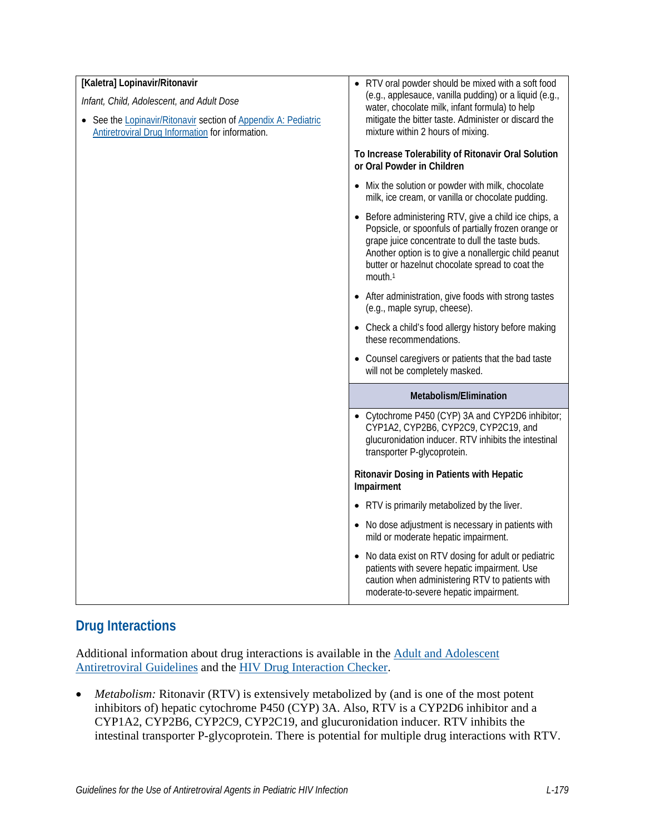| [Kaletra] Lopinavir/Ritonavir                                                                                      | • RTV oral powder should be mixed with a soft food                                                                                                                                                                                                                                               |
|--------------------------------------------------------------------------------------------------------------------|--------------------------------------------------------------------------------------------------------------------------------------------------------------------------------------------------------------------------------------------------------------------------------------------------|
| Infant, Child, Adolescent, and Adult Dose                                                                          | (e.g., applesauce, vanilla pudding) or a liquid (e.g.,<br>water, chocolate milk, infant formula) to help                                                                                                                                                                                         |
| • See the Lopinavir/Ritonavir section of Appendix A: Pediatric<br>Antiretroviral Drug Information for information. | mitigate the bitter taste. Administer or discard the<br>mixture within 2 hours of mixing.                                                                                                                                                                                                        |
|                                                                                                                    | To Increase Tolerability of Ritonavir Oral Solution<br>or Oral Powder in Children                                                                                                                                                                                                                |
|                                                                                                                    | Mix the solution or powder with milk, chocolate<br>milk, ice cream, or vanilla or chocolate pudding.                                                                                                                                                                                             |
|                                                                                                                    | Before administering RTV, give a child ice chips, a<br>Popsicle, or spoonfuls of partially frozen orange or<br>grape juice concentrate to dull the taste buds.<br>Another option is to give a nonallergic child peanut<br>butter or hazelnut chocolate spread to coat the<br>mouth. <sup>1</sup> |
|                                                                                                                    | After administration, give foods with strong tastes<br>$\bullet$<br>(e.g., maple syrup, cheese).                                                                                                                                                                                                 |
|                                                                                                                    | • Check a child's food allergy history before making<br>these recommendations.                                                                                                                                                                                                                   |
|                                                                                                                    | • Counsel caregivers or patients that the bad taste<br>will not be completely masked.                                                                                                                                                                                                            |
|                                                                                                                    | Metabolism/Elimination                                                                                                                                                                                                                                                                           |
|                                                                                                                    | Cytochrome P450 (CYP) 3A and CYP2D6 inhibitor;<br>CYP1A2, CYP2B6, CYP2C9, CYP2C19, and<br>glucuronidation inducer. RTV inhibits the intestinal<br>transporter P-glycoprotein.                                                                                                                    |
|                                                                                                                    | Ritonavir Dosing in Patients with Hepatic<br>Impairment                                                                                                                                                                                                                                          |
|                                                                                                                    | • RTV is primarily metabolized by the liver.                                                                                                                                                                                                                                                     |
|                                                                                                                    | • No dose adjustment is necessary in patients with<br>mild or moderate hepatic impairment.                                                                                                                                                                                                       |
|                                                                                                                    | No data exist on RTV dosing for adult or pediatric<br>$\bullet$<br>patients with severe hepatic impairment. Use<br>caution when administering RTV to patients with<br>moderate-to-severe hepatic impairment.                                                                                     |

## **Drug Interactions**

Additional information about drug interactions is available in the [Adult and Adolescent](https://clinicalinfo.hiv.gov/en/guidelines/adult-and-adolescent-arv/whats-new-guidelines)  [Antiretroviral Guidelines](https://clinicalinfo.hiv.gov/en/guidelines/adult-and-adolescent-arv/whats-new-guidelines) and the [HIV Drug Interaction Checker.](http://www.hiv-druginteractions.org/)

• *Metabolism:* Ritonavir (RTV) is extensively metabolized by (and is one of the most potent inhibitors of) hepatic cytochrome P450 (CYP) 3A. Also, RTV is a CYP2D6 inhibitor and a CYP1A2, CYP2B6, CYP2C9, CYP2C19, and glucuronidation inducer. RTV inhibits the intestinal transporter P-glycoprotein. There is potential for multiple drug interactions with RTV.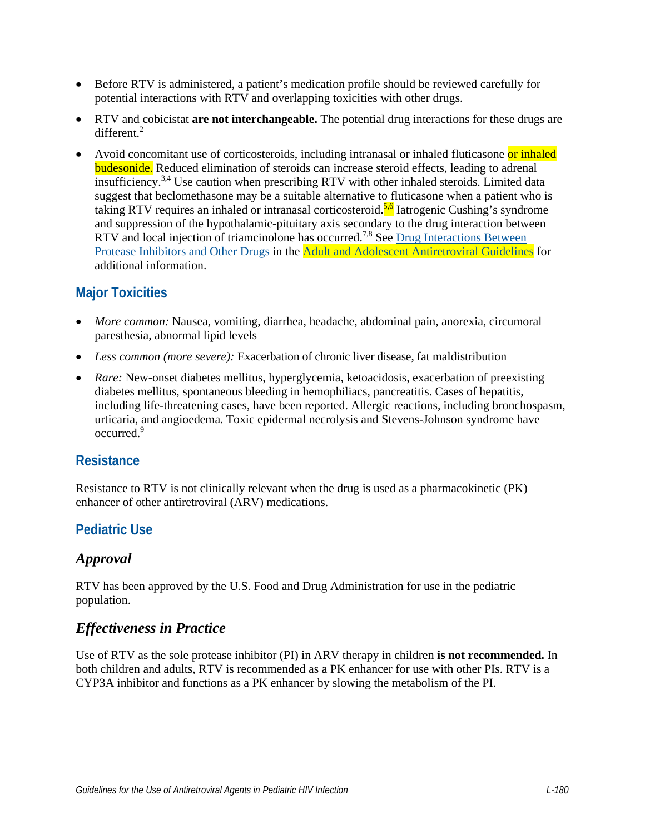- Before RTV is administered, a patient's medication profile should be reviewed carefully for potential interactions with RTV and overlapping toxicities with other drugs.
- RTV and cobicistat **are not interchangeable.** The potential drug interactions for these drugs are different $^2$
- Avoid concomitant use of corticosteroids, including intranasal or inhaled fluticasone or inhaled budesonide. Reduced elimination of steroids can increase steroid effects, leading to adrenal insufficiency.<sup>[3,](#page-4-2)[4](#page-4-3)</sup> Use caution when prescribing RTV with other inhaled steroids. Limited data suggest that beclomethasone may be a suitable alternative to fluticasone when a patient who is taking RTV requires an inhaled or intranasal corticosteroid.<sup>5,[6](#page-4-5)</sup> Iatrogenic Cushing's syndrome and suppression of the hypothalamic-pituitary axis secondary to the drug interaction between RTV and local injection of triamcinolone has occurred.<sup>[7,](#page-4-6)[8](#page-4-7)</sup> See Drug Interactions Between [Protease Inhibitors and Other Drugs](https://clinicalinfo.hiv.gov/en/guidelines/adult-and-adolescent-arv/drug-interactions-between-protease-inhibitors-and-other-drugs) in the [Adult and Adolescent Antiretroviral Guidelines](https://clinicalinfo.hiv.gov/en/guidelines/adult-and-adolescent-arv/) for additional information.

## **Major Toxicities**

- *More common:* Nausea, vomiting, diarrhea, headache, abdominal pain, anorexia, circumoral paresthesia, abnormal lipid levels
- *Less common (more severe):* Exacerbation of chronic liver disease, fat maldistribution
- *Rare:* New-onset diabetes mellitus, hyperglycemia, ketoacidosis, exacerbation of preexisting diabetes mellitus, spontaneous bleeding in hemophiliacs, pancreatitis. Cases of hepatitis, including life-threatening cases, have been reported. Allergic reactions, including bronchospasm, urticaria, and angioedema. Toxic epidermal necrolysis and Stevens-Johnson syndrome have occurred[.9](#page-4-8)

### **Resistance**

Resistance to RTV is not clinically relevant when the drug is used as a pharmacokinetic (PK) enhancer of other antiretroviral (ARV) medications.

## **Pediatric Use**

### *Approval*

RTV has been approved by the U.S. Food and Drug Administration for use in the pediatric population.

### *Effectiveness in Practice*

Use of RTV as the sole protease inhibitor (PI) in ARV therapy in children **is not recommended.** In both children and adults, RTV is recommended as a PK enhancer for use with other PIs. RTV is a CYP3A inhibitor and functions as a PK enhancer by slowing the metabolism of the PI.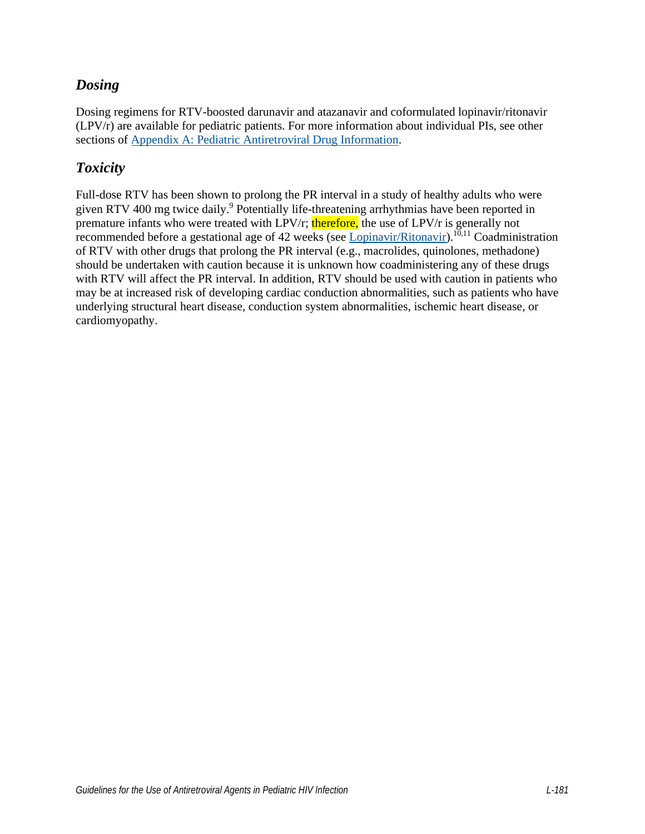## *Dosing*

Dosing regimens for RTV-boosted darunavir and atazanavir and coformulated lopinavir/ritonavir (LPV/r) are available for pediatric patients. For more information about individual PIs, see other sections of [Appendix A: Pediatric Antiretroviral Drug Information.](https://clinicalinfo.hiv.gov/en/guidelines/pediatric-arv/overview-0)

## *Toxicity*

Full-dose RTV has been shown to prolong the PR interval in a study of healthy adults who were given RTV 400 mg twice daily.<sup>9</sup> Potentially life-threatening arrhythmias have been reported in premature infants who were treated with LPV/r; therefore, the use of LPV/r is generally not recommended before a gestational age of 42 weeks (see [Lopinavir/Ritonavir\)](https://clinicalinfo.hiv.gov/en/guidelines/pediatric-arv/lopinavirritonavir).<sup>10,11</sup> Coadministration of RTV with other drugs that prolong the PR interval (e.g., macrolides, quinolones, methadone) should be undertaken with caution because it is unknown how coadministering any of these drugs with RTV will affect the PR interval. In addition, RTV should be used with caution in patients who may be at increased risk of developing cardiac conduction abnormalities, such as patients who have underlying structural heart disease, conduction system abnormalities, ischemic heart disease, or cardiomyopathy.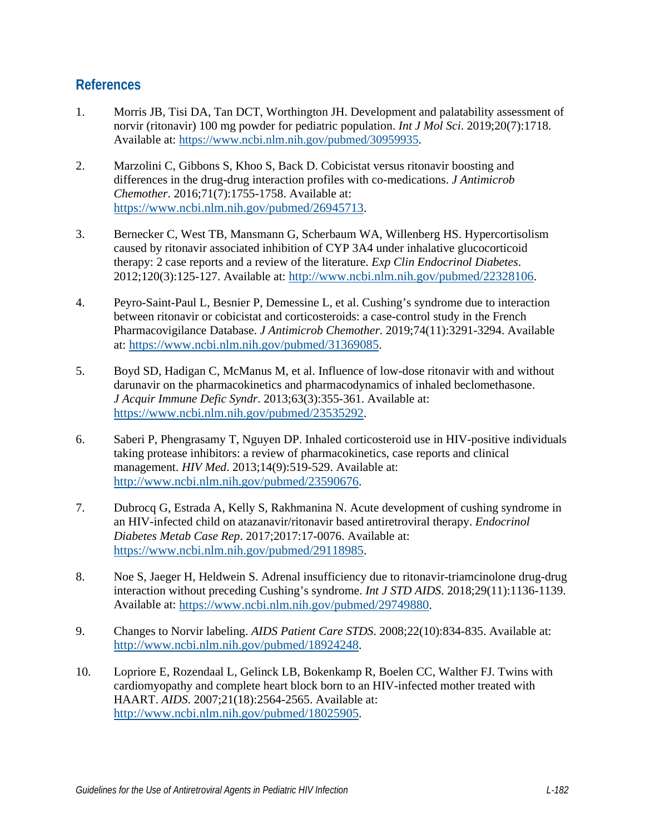#### **References**

- <span id="page-4-0"></span>1. Morris JB, Tisi DA, Tan DCT, Worthington JH. Development and palatability assessment of norvir (ritonavir) 100 mg powder for pediatric population. *Int J Mol Sci*. 2019;20(7):1718. Available at: [https://www.ncbi.nlm.nih.gov/pubmed/30959935.](https://www.ncbi.nlm.nih.gov/pubmed/30959935)
- <span id="page-4-1"></span>2. Marzolini C, Gibbons S, Khoo S, Back D. Cobicistat versus ritonavir boosting and differences in the drug-drug interaction profiles with co-medications. *J Antimicrob Chemother*. 2016;71(7):1755-1758. Available at: [https://www.ncbi.nlm.nih.gov/pubmed/26945713.](https://www.ncbi.nlm.nih.gov/pubmed/26945713)
- <span id="page-4-2"></span>3. Bernecker C, West TB, Mansmann G, Scherbaum WA, Willenberg HS. Hypercortisolism caused by ritonavir associated inhibition of CYP 3A4 under inhalative glucocorticoid therapy: 2 case reports and a review of the literature. *Exp Clin Endocrinol Diabetes*. 2012;120(3):125-127. Available at: [http://www.ncbi.nlm.nih.gov/pubmed/22328106.](http://www.ncbi.nlm.nih.gov/pubmed/22328106)
- <span id="page-4-3"></span>4. Peyro-Saint-Paul L, Besnier P, Demessine L, et al. Cushing's syndrome due to interaction between ritonavir or cobicistat and corticosteroids: a case-control study in the French Pharmacovigilance Database. *J Antimicrob Chemother*. 2019;74(11):3291-3294. Available at: [https://www.ncbi.nlm.nih.gov/pubmed/31369085.](https://www.ncbi.nlm.nih.gov/pubmed/31369085)
- <span id="page-4-4"></span>5. Boyd SD, Hadigan C, McManus M, et al. Influence of low-dose ritonavir with and without darunavir on the pharmacokinetics and pharmacodynamics of inhaled beclomethasone. *J Acquir Immune Defic Syndr*. 2013;63(3):355-361. Available at: [https://www.ncbi.nlm.nih.gov/pubmed/23535292.](https://www.ncbi.nlm.nih.gov/pubmed/23535292)
- <span id="page-4-5"></span>6. Saberi P, Phengrasamy T, Nguyen DP. Inhaled corticosteroid use in HIV-positive individuals taking protease inhibitors: a review of pharmacokinetics, case reports and clinical management. *HIV Med*. 2013;14(9):519-529. Available at: [http://www.ncbi.nlm.nih.gov/pubmed/23590676.](http://www.ncbi.nlm.nih.gov/pubmed/23590676)
- <span id="page-4-6"></span>7. Dubrocq G, Estrada A, Kelly S, Rakhmanina N. Acute development of cushing syndrome in an HIV-infected child on atazanavir/ritonavir based antiretroviral therapy. *Endocrinol Diabetes Metab Case Rep*. 2017;2017:17-0076. Available at: [https://www.ncbi.nlm.nih.gov/pubmed/29118985.](https://www.ncbi.nlm.nih.gov/pubmed/29118985)
- <span id="page-4-7"></span>8. Noe S, Jaeger H, Heldwein S. Adrenal insufficiency due to ritonavir-triamcinolone drug-drug interaction without preceding Cushing's syndrome. *Int J STD AIDS*. 2018;29(11):1136-1139. Available at: [https://www.ncbi.nlm.nih.gov/pubmed/29749880.](https://www.ncbi.nlm.nih.gov/pubmed/29749880)
- <span id="page-4-8"></span>9. Changes to Norvir labeling. *AIDS Patient Care STDS*. 2008;22(10):834-835. Available at: [http://www.ncbi.nlm.nih.gov/pubmed/18924248.](http://www.ncbi.nlm.nih.gov/pubmed/18924248)
- <span id="page-4-9"></span>10. Lopriore E, Rozendaal L, Gelinck LB, Bokenkamp R, Boelen CC, Walther FJ. Twins with cardiomyopathy and complete heart block born to an HIV-infected mother treated with HAART. *AIDS*. 2007;21(18):2564-2565. Available at: [http://www.ncbi.nlm.nih.gov/pubmed/18025905.](http://www.ncbi.nlm.nih.gov/pubmed/18025905)